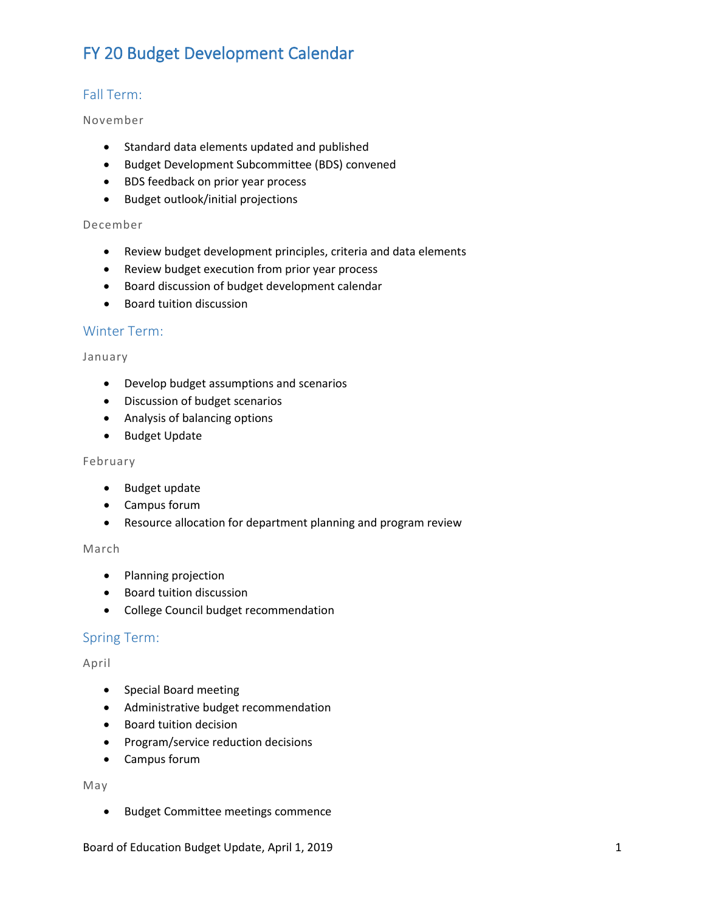# FY 20 Budget Development Calendar

## Fall Term:

### November

- Standard data elements updated and published
- Budget Development Subcommittee (BDS) convened
- BDS feedback on prior year process
- Budget outlook/initial projections

#### December

- Review budget development principles, criteria and data elements
- Review budget execution from prior year process
- Board discussion of budget development calendar
- Board tuition discussion

## Winter Term:

#### January

- Develop budget assumptions and scenarios
- Discussion of budget scenarios
- Analysis of balancing options
- Budget Update

#### February

- Budget update
- Campus forum
- Resource allocation for department planning and program review

#### March

- Planning projection
- Board tuition discussion
- College Council budget recommendation

## Spring Term:

#### April

- Special Board meeting
- Administrative budget recommendation
- Board tuition decision
- Program/service reduction decisions
- Campus forum

## May

• Budget Committee meetings commence

Board of Education Budget Update, April 1, 2019 1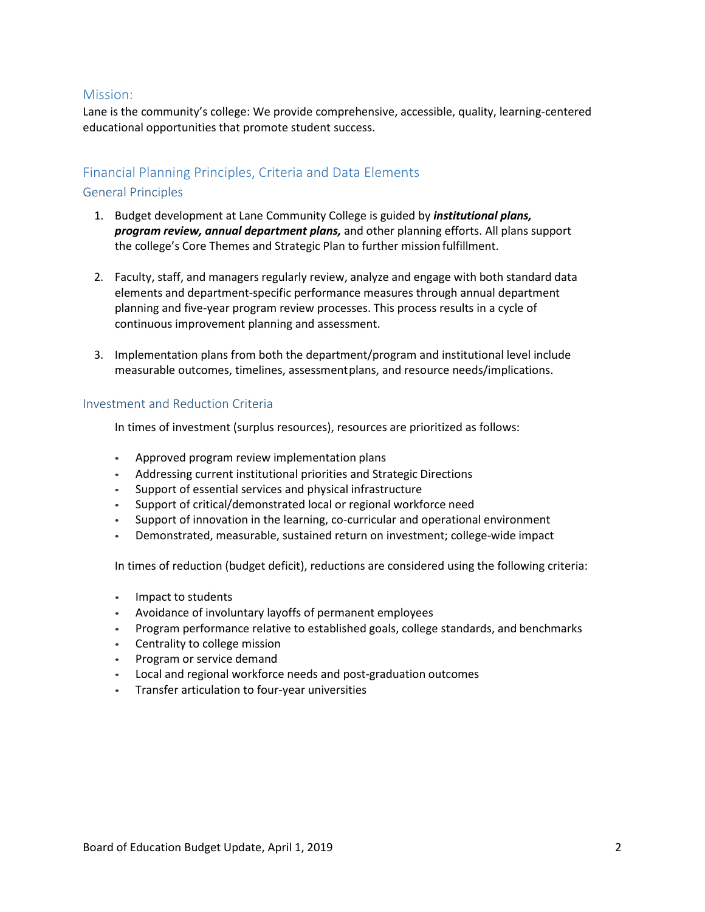## Mission:

Lane is the community's college: We provide comprehensive, accessible, quality, learning-centered educational opportunities that promote student success.

## Financial Planning Principles, Criteria and Data Elements

### General Principles

- 1. Budget development at Lane Community College is guided by *institutional plans, program review, annual department plans,* and other planning efforts. All plans support the college's Core Themes and Strategic Plan to further mission fulfillment.
- 2. Faculty, staff, and managers regularly review, analyze and engage with both standard data elements and department-specific performance measures through annual department planning and five-year program review processes. This process results in a cycle of continuous improvement planning and assessment.
- 3. Implementation plans from both the department/program and institutional level include measurable outcomes, timelines, assessmentplans, and resource needs/implications.

#### Investment and Reduction Criteria

In times of investment (surplus resources), resources are prioritized as follows:

- Approved program review implementation plans
- Addressing current institutional priorities and Strategic Directions
- Support of essential services and physical infrastructure
- Support of critical/demonstrated local or regional workforce need
- Support of innovation in the learning, co-curricular and operational environment
- Demonstrated, measurable, sustained return on investment; college-wide impact

In times of reduction (budget deficit), reductions are considered using the following criteria:

- Impact to students
- Avoidance of involuntary layoffs of permanent employees
- Program performance relative to established goals, college standards, and benchmarks
- Centrality to college mission
- Program or service demand
- Local and regional workforce needs and post-graduation outcomes
- Transfer articulation to four-year universities